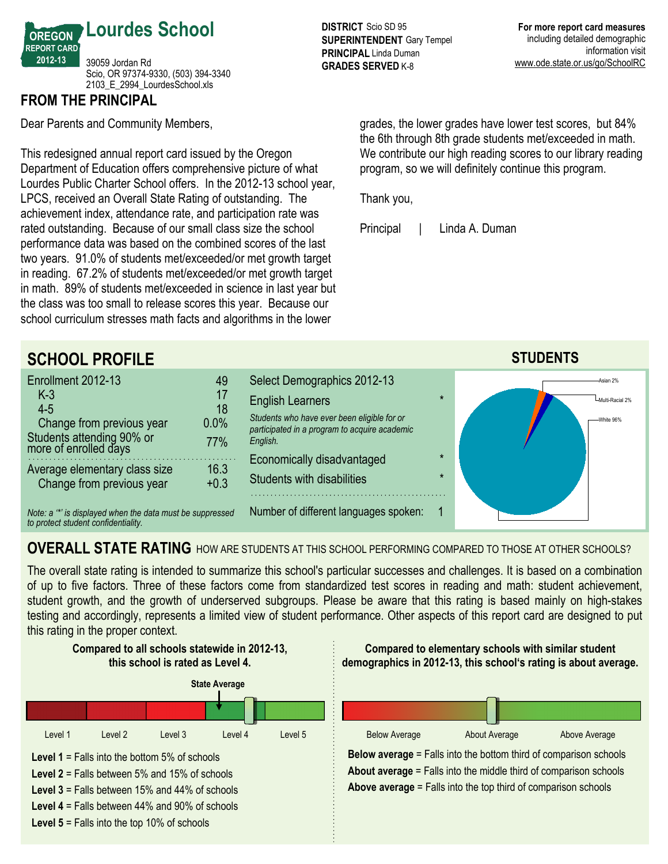

### **FROM THE PRINCIPAL**

Dear Parents and Community Members,

This redesigned annual report card issued by the Oregon Department of Education offers comprehensive picture of what Lourdes Public Charter School offers. In the 2012-13 school year, LPCS, received an Overall State Rating of outstanding. The achievement index, attendance rate, and participation rate was rated outstanding. Because of our small class size the school performance data was based on the combined scores of the last two years. 91.0% of students met/exceeded/or met growth target in reading. 67.2% of students met/exceeded/or met growth target in math. 89% of students met/exceeded in science in last year but the class was too small to release scores this year. Because our school curriculum stresses math facts and algorithms in the lower

**DISTRICT** Scio SD 95 **SUPERINTENDENT** Gary Tempel **PRINCIPAL** Linda Duman **GRADES SERVED K-8** 

grades, the lower grades have lower test scores, but 84% the 6th through 8th grade students met/exceeded in math. We contribute our high reading scores to our library reading program, so we will definitely continue this program.

Thank you,

Principal | Linda A. Duman



## **OVERALL STATE RATING** HOW ARE STUDENTS AT THIS SCHOOL PERFORMING COMPARED TO THOSE AT OTHER SCHOOLS?

The overall state rating is intended to summarize this school's particular successes and challenges. It is based on a combination of up to five factors. Three of these factors come from standardized test scores in reading and math: student achievement, student growth, and the growth of underserved subgroups. Please be aware that this rating is based mainly on high-stakes testing and accordingly, represents a limited view of student performance. Other aspects of this report card are designed to put this rating in the proper context.

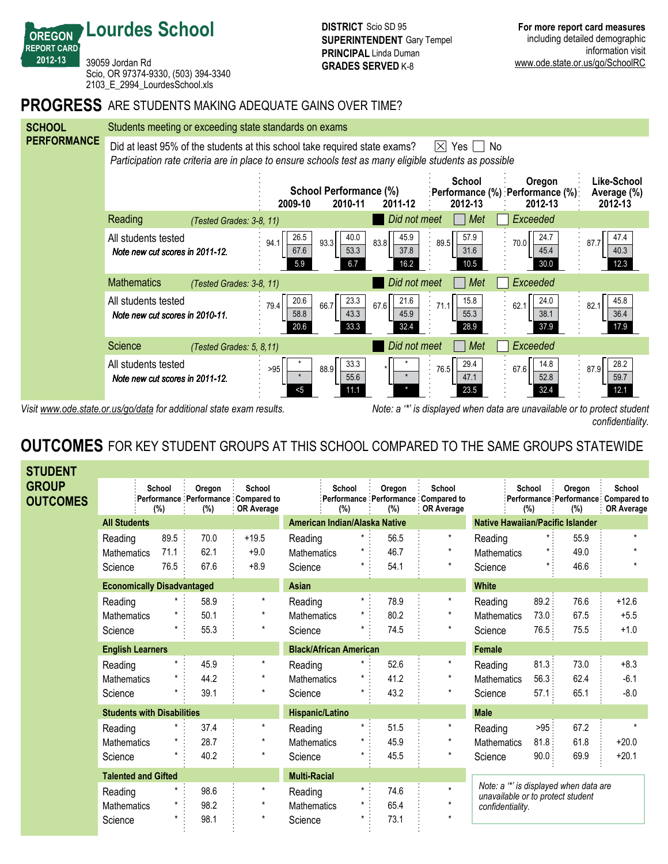39059 Jordan Rd Scio, OR 97374-9330, (503) 394-3340 2103\_E\_2994\_LourdesSchool.xls

**Lourdes School**

**OREGON REPORT CARD 201213**

#### **PROGRESS** ARE STUDENTS MAKING ADEQUATE GAINS OVER TIME?



Visit www.ode.state.or.us/go/data for additional state exam results. Note: a '\*' is displayed when data are unavailable or to protect student *confidentiality.*

## **OUTCOMES** FOR KEY STUDENT GROUPS AT THIS SCHOOL COMPARED TO THE SAME GROUPS STATEWIDE

| <b>STUDENT</b>           |                                   |               |               |                                                                    |                               |               |               |                                                                    |                                                                            |               |               |                                                              |
|--------------------------|-----------------------------------|---------------|---------------|--------------------------------------------------------------------|-------------------------------|---------------|---------------|--------------------------------------------------------------------|----------------------------------------------------------------------------|---------------|---------------|--------------------------------------------------------------|
| GROUP<br><b>OUTCOMES</b> |                                   | School<br>(%) | Oregon<br>(%) | School<br>Performance Performance Compared to<br><b>OR Average</b> |                               | School<br>(%) | Oregon<br>(%) | School<br>Performance Performance Compared to<br><b>OR Average</b> |                                                                            | School<br>(%) | Oregon<br>(%) | School<br>:Performance Performance Compared to<br>OR Average |
|                          | <b>All Students</b>               |               |               |                                                                    | American Indian/Alaska Native |               |               |                                                                    | <b>Native Hawaiian/Pacific Islander</b>                                    |               |               |                                                              |
|                          | Reading                           | 89.5          | 70.0          | $+19.5$                                                            | Reading                       | $\star$ :     | 56.5          | $\star$                                                            | Reading                                                                    | $\star$ :     | 55.9          | $\star$                                                      |
|                          | <b>Mathematics</b>                | 71.1          | 62.1          | $+9.0$                                                             | <b>Mathematics</b>            | $\star$       | 46.7          | $\star$                                                            | <b>Mathematics</b>                                                         | $\star$ :     | 49.0          |                                                              |
|                          | Science                           | 76.5          | 67.6          | $+8.9$                                                             | Science                       | $\star$       | 54.1          | $\star$                                                            | Science                                                                    | $\star$ :     | 46.6          |                                                              |
|                          | <b>Economically Disadvantaged</b> |               |               |                                                                    | Asian                         |               |               |                                                                    | <b>White</b>                                                               |               |               |                                                              |
|                          | Reading                           |               | 58.9          | $\star$                                                            | Reading                       | $\star$ :     | 78.9          | $\star$                                                            | Reading                                                                    | 89.2:         | 76.6          | $+12.6$                                                      |
|                          | <b>Mathematics</b>                |               | 50.1          | $\star$                                                            | <b>Mathematics</b>            | $^\star$      | 80.2          | $\star$                                                            | <b>Mathematics</b>                                                         | 73.0:         | 67.5          | $+5.5$                                                       |
|                          | Science                           |               | 55.3          | $\star$                                                            | Science                       |               | 74.5          | $^\star$                                                           | Science                                                                    | 76.5:         | 75.5          | $+1.0$                                                       |
|                          | <b>English Learners</b>           |               |               |                                                                    | <b>Black/African American</b> |               |               |                                                                    | <b>Female</b>                                                              |               |               |                                                              |
|                          | Reading                           |               | 45.9          | $\star$                                                            | Reading                       | $^\star$      | 52.6          | $\star$                                                            | Reading                                                                    | 81.3:         | 73.0          | $+8.3$                                                       |
|                          | <b>Mathematics</b>                |               | 44.2          | $^\star$                                                           | Mathematics                   |               | 41.2          | $\star$                                                            | <b>Mathematics</b>                                                         | 56.3:         | 62.4          | $-6.1$                                                       |
|                          | Science                           |               | 39.1          | $\star$                                                            | Science                       |               | 43.2          | $^\star$                                                           | Science                                                                    | 57.1:         | 65.1          | $-8.0$                                                       |
|                          | <b>Students with Disabilities</b> |               |               |                                                                    | Hispanic/Latino               |               |               |                                                                    | <b>Male</b>                                                                |               |               |                                                              |
|                          | Reading                           |               | 37.4          | $\star$                                                            | Reading                       | $\star$       | 51.5          | $\star$                                                            | Reading                                                                    | >95           | 67.2          |                                                              |
|                          | <b>Mathematics</b>                |               | 28.7          | $\star$                                                            | <b>Mathematics</b>            | $\star$       | 45.9          | $\star$                                                            | <b>Mathematics</b>                                                         | 81.8:         | 61.8          | $+20.0$                                                      |
|                          | Science                           |               | 40.2          | $\star$                                                            | Science                       | $\star$       | 45.5          | $^\star$                                                           | Science                                                                    | 90.0          | 69.9          | $+20.1$                                                      |
|                          | <b>Talented and Gifted</b>        |               |               |                                                                    | <b>Multi-Racial</b>           |               |               |                                                                    |                                                                            |               |               |                                                              |
|                          | Reading                           |               | 98.6          | $\star$                                                            | Reading                       | $\star$ :     | 74.6          | $\star$                                                            | Note: a "" is displayed when data are<br>unavailable or to protect student |               |               |                                                              |
|                          | <b>Mathematics</b>                |               | 98.2          | $\star$                                                            | <b>Mathematics</b>            | $\star$       | 65.4          | $\star$                                                            | confidentiality.                                                           |               |               |                                                              |
|                          | Science                           |               | 98.1          | $^\star$                                                           | Science                       | $\star$       | 73.1          | $\star$                                                            |                                                                            |               |               |                                                              |
|                          |                                   |               |               |                                                                    |                               |               |               |                                                                    |                                                                            |               |               |                                                              |